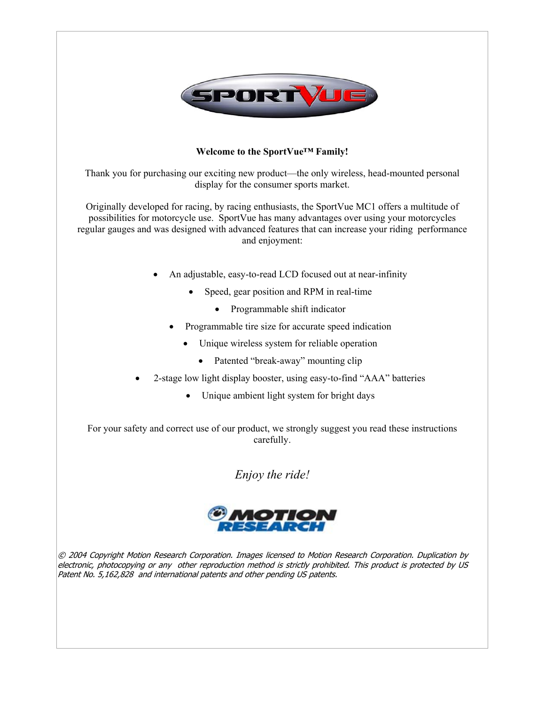

# **Welcome to the SportVue™ Family!**

Thank you for purchasing our exciting new product—the only wireless, head-mounted personal display for the consumer sports market.

Originally developed for racing, by racing enthusiasts, the SportVue MC1 offers a multitude of possibilities for motorcycle use. SportVue has many advantages over using your motorcycles regular gauges and was designed with advanced features that can increase your riding performance and enjoyment:

- An adjustable, easy-to-read LCD focused out at near-infinity
	- Speed, gear position and RPM in real-time
		- Programmable shift indicator
	- Programmable tire size for accurate speed indication
		- Unique wireless system for reliable operation
			- Patented "break-away" mounting clip
- 2-stage low light display booster, using easy-to-find "AAA" batteries
	- Unique ambient light system for bright days

For your safety and correct use of our product, we strongly suggest you read these instructions carefully.

*Enjoy the ride!* 



© 2004 Copyright Motion Research Corporation. Images licensed to Motion Research Corporation. Duplication by electronic, photocopying or any other reproduction method is strictly prohibited. This product is protected by US Patent No. 5,162,828 and international patents and other pending US patents.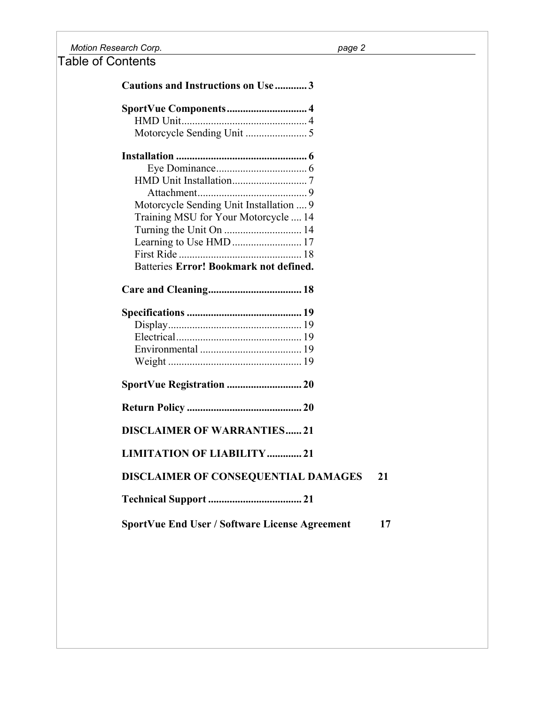*Motion Research Corp. page 2* 

Table of Contents

**Cautions and Instructions on Use ............ 3 SportVue Components.............................. 4** HMD Unit............................................... 4 Motorcycle Sending Unit ....................... 5 **Installation ................................................. 6** Eye Dominance.................................. 6 HMD Unit Installation............................ 7 Attachment......................................... 9 Motorcycle Sending Unit Installation .... 9 Training MSU for Your Motorcycle .... 14 Turning the Unit On ............................. 14 Learning to Use HMD .......................... 17 First Ride .............................................. 18 Batteries **Error! Bookmark not defined. Care and Cleaning................................... 18 Specifications ........................................... 19** Display.................................................. 19 Electrical............................................... 19 Environmental ...................................... 19 Weight .................................................. 19 **SportVue Registration ............................ 20 Return Policy ........................................... 20 DISCLAIMER OF WARRANTIES...... 21 LIMITATION OF LIABILITY............. 21 DISCLAIMER OF CONSEQUENTIAL DAMAGES 21 Technical Support ................................... 21 SportVue End User / Software License Agreement 17**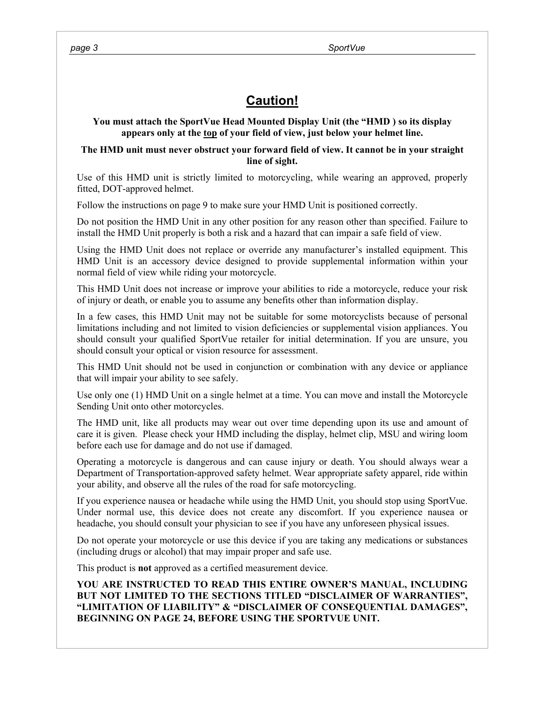# **Caution!**

# **You must attach the SportVue Head Mounted Display Unit (the "HMD ) so its display appears only at the top of your field of view, just below your helmet line.**

# **The HMD unit must never obstruct your forward field of view. It cannot be in your straight line of sight.**

Use of this HMD unit is strictly limited to motorcycling, while wearing an approved, properly fitted, DOT-approved helmet.

Follow the instructions on page 9 to make sure your HMD Unit is positioned correctly.

Do not position the HMD Unit in any other position for any reason other than specified. Failure to install the HMD Unit properly is both a risk and a hazard that can impair a safe field of view.

Using the HMD Unit does not replace or override any manufacturer's installed equipment. This HMD Unit is an accessory device designed to provide supplemental information within your normal field of view while riding your motorcycle.

This HMD Unit does not increase or improve your abilities to ride a motorcycle, reduce your risk of injury or death, or enable you to assume any benefits other than information display.

In a few cases, this HMD Unit may not be suitable for some motorcyclists because of personal limitations including and not limited to vision deficiencies or supplemental vision appliances. You should consult your qualified SportVue retailer for initial determination. If you are unsure, you should consult your optical or vision resource for assessment.

This HMD Unit should not be used in conjunction or combination with any device or appliance that will impair your ability to see safely.

Use only one (1) HMD Unit on a single helmet at a time. You can move and install the Motorcycle Sending Unit onto other motorcycles.

The HMD unit, like all products may wear out over time depending upon its use and amount of care it is given. Please check your HMD including the display, helmet clip, MSU and wiring loom before each use for damage and do not use if damaged.

Operating a motorcycle is dangerous and can cause injury or death. You should always wear a Department of Transportation-approved safety helmet. Wear appropriate safety apparel, ride within your ability, and observe all the rules of the road for safe motorcycling.

If you experience nausea or headache while using the HMD Unit, you should stop using SportVue. Under normal use, this device does not create any discomfort. If you experience nausea or headache, you should consult your physician to see if you have any unforeseen physical issues.

Do not operate your motorcycle or use this device if you are taking any medications or substances (including drugs or alcohol) that may impair proper and safe use.

This product is **not** approved as a certified measurement device.

**YOU ARE INSTRUCTED TO READ THIS ENTIRE OWNER'S MANUAL, INCLUDING BUT NOT LIMITED TO THE SECTIONS TITLED "DISCLAIMER OF WARRANTIES", "LIMITATION OF LIABILITY" & "DISCLAIMER OF CONSEQUENTIAL DAMAGES", BEGINNING ON PAGE 24, BEFORE USING THE SPORTVUE UNIT.**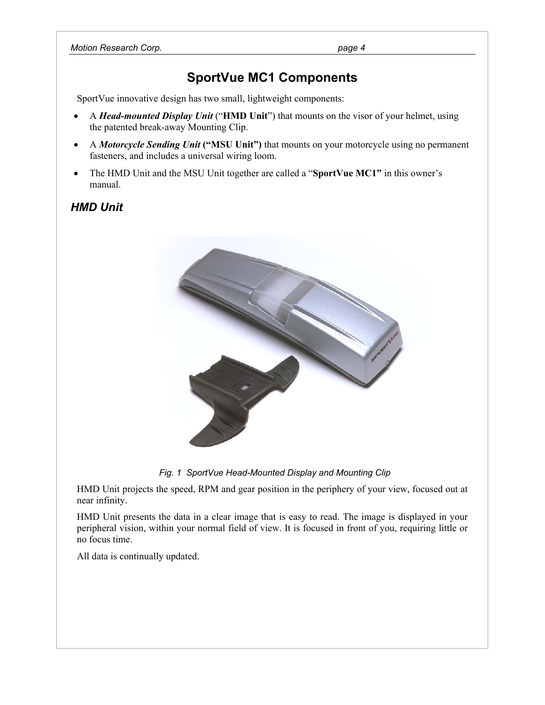# **SportVue MC1 Components**

SportVue innovative design has two small, lightweight components:

- A *Head-mounted Display Unit* ("**HMD Unit**") that mounts on the visor of your helmet, using the patented break-away Mounting Clip.
- A *Motorcycle Sending Unit* **("MSU Unit")** that mounts on your motorcycle using no permanent fasteners, and includes a universal wiring loom.
- The HMD Unit and the MSU Unit together are called a "**SportVue MC1"** in this owner's manual.

# *HMD Unit*



 *Fig. 1 SportVue Head-Mounted Display and Mounting Clip* 

HMD Unit projects the speed, RPM and gear position in the periphery of your view, focused out at near infinity.

HMD Unit presents the data in a clear image that is easy to read. The image is displayed in your peripheral vision, within your normal field of view. It is focused in front of you, requiring little or no focus time.

All data is continually updated.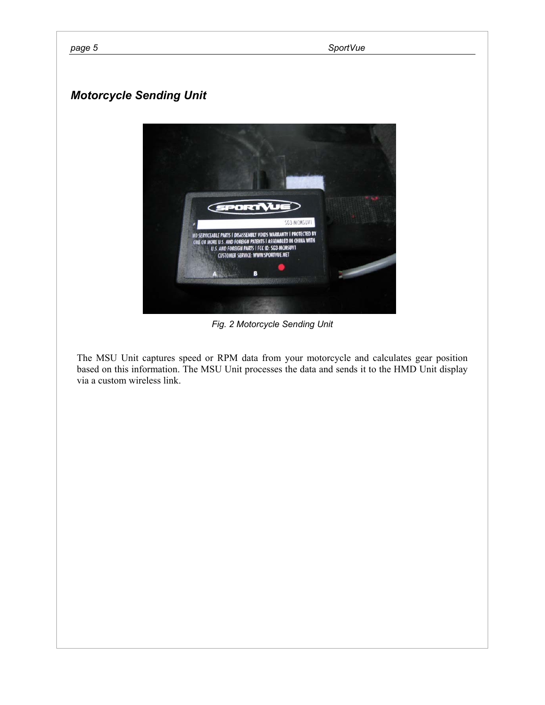# *Motorcycle Sending Unit*



*Fig. 2 Motorcycle Sending Unit* 

The MSU Unit captures speed or RPM data from your motorcycle and calculates gear position based on this information. The MSU Unit processes the data and sends it to the HMD Unit display via a custom wireless link.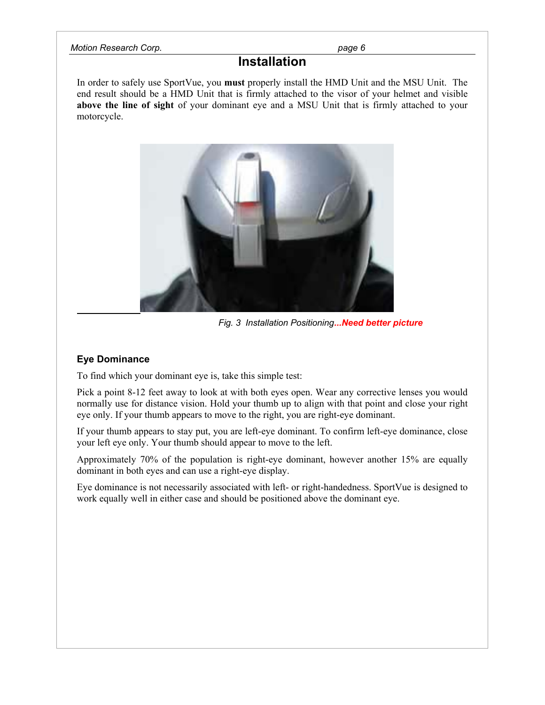### *Motion Research Corp. page 6*

# **Installation**

In order to safely use SportVue, you **must** properly install the HMD Unit and the MSU Unit. The end result should be a HMD Unit that is firmly attached to the visor of your helmet and visible **above the line of sight** of your dominant eye and a MSU Unit that is firmly attached to your motorcycle.



 *Fig. 3 Installation Positioning...Need better picture*

# **Eye Dominance**

To find which your dominant eye is, take this simple test:

Pick a point 8-12 feet away to look at with both eyes open. Wear any corrective lenses you would normally use for distance vision. Hold your thumb up to align with that point and close your right eye only. If your thumb appears to move to the right, you are right-eye dominant.

If your thumb appears to stay put, you are left-eye dominant. To confirm left-eye dominance, close your left eye only. Your thumb should appear to move to the left.

Approximately 70% of the population is right-eye dominant, however another 15% are equally dominant in both eyes and can use a right-eye display.

Eye dominance is not necessarily associated with left- or right-handedness. SportVue is designed to work equally well in either case and should be positioned above the dominant eye.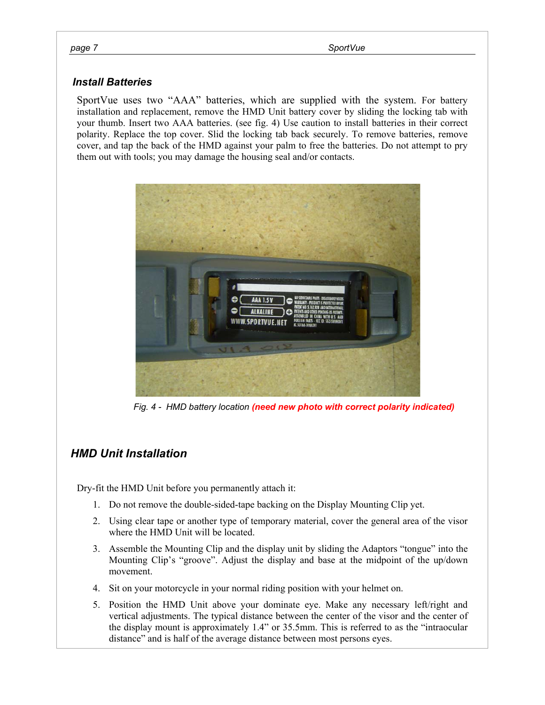# *Install Batteries*

SportVue uses two "AAA" batteries, which are supplied with the system. For battery installation and replacement, remove the HMD Unit battery cover by sliding the locking tab with your thumb. Insert two AAA batteries. (see fig. 4) Use caution to install batteries in their correct polarity. Replace the top cover. Slid the locking tab back securely. To remove batteries, remove cover, and tap the back of the HMD against your palm to free the batteries. Do not attempt to pry them out with tools; you may damage the housing seal and/or contacts.



*Fig. 4 - HMD battery location (need new photo with correct polarity indicated)*

# *HMD Unit Installation*

Dry-fit the HMD Unit before you permanently attach it:

- 1. Do not remove the double-sided-tape backing on the Display Mounting Clip yet.
- 2. Using clear tape or another type of temporary material, cover the general area of the visor where the HMD Unit will be located.
- 3. Assemble the Mounting Clip and the display unit by sliding the Adaptors "tongue" into the Mounting Clip's "groove". Adjust the display and base at the midpoint of the up/down movement.
- 4. Sit on your motorcycle in your normal riding position with your helmet on.
- 5. Position the HMD Unit above your dominate eye. Make any necessary left/right and vertical adjustments. The typical distance between the center of the visor and the center of the display mount is approximately 1.4" or 35.5mm. This is referred to as the "intraocular distance" and is half of the average distance between most persons eyes.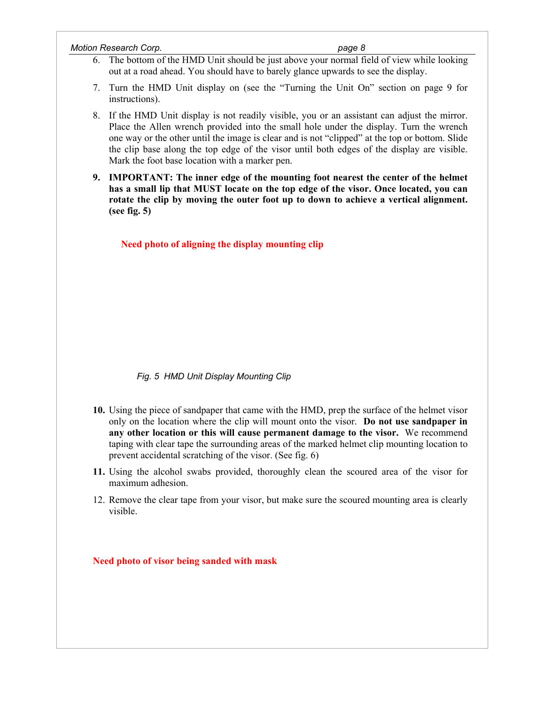| <b>Motion Research Corp.</b> | page 8 |
|------------------------------|--------|
|                              |        |

- 6. The bottom of the HMD Unit should be just above your normal field of view while looking out at a road ahead. You should have to barely glance upwards to see the display.
- 7. Turn the HMD Unit display on (see the "Turning the Unit On" section on page 9 for instructions).
- 8. If the HMD Unit display is not readily visible, you or an assistant can adjust the mirror. Place the Allen wrench provided into the small hole under the display. Turn the wrench one way or the other until the image is clear and is not "clipped" at the top or bottom. Slide the clip base along the top edge of the visor until both edges of the display are visible. Mark the foot base location with a marker pen.
- **9. IMPORTANT: The inner edge of the mounting foot nearest the center of the helmet has a small lip that MUST locate on the top edge of the visor. Once located, you can rotate the clip by moving the outer foot up to down to achieve a vertical alignment. (see fig. 5)**

 **Need photo of aligning the display mounting clip** 

 *Fig. 5 HMD Unit Display Mounting Clip* 

- **10.** Using the piece of sandpaper that came with the HMD, prep the surface of the helmet visor only on the location where the clip will mount onto the visor. **Do not use sandpaper in any other location or this will cause permanent damage to the visor.** We recommend taping with clear tape the surrounding areas of the marked helmet clip mounting location to prevent accidental scratching of the visor. (See fig. 6)
- **11.** Using the alcohol swabs provided, thoroughly clean the scoured area of the visor for maximum adhesion.
- 12. Remove the clear tape from your visor, but make sure the scoured mounting area is clearly visible.

**Need photo of visor being sanded with mask**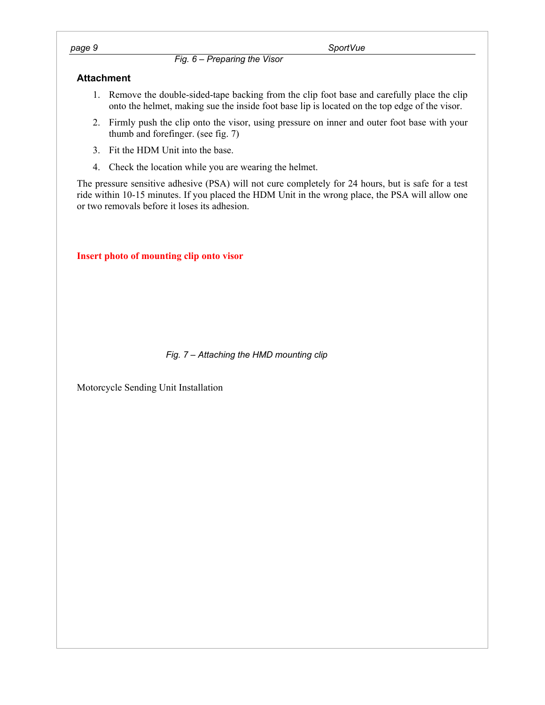*Fig. 6 – Preparing the Visor* 

# **Attachment**

- 1. Remove the double-sided-tape backing from the clip foot base and carefully place the clip onto the helmet, making sue the inside foot base lip is located on the top edge of the visor.
- 2. Firmly push the clip onto the visor, using pressure on inner and outer foot base with your thumb and forefinger. (see fig. 7)
- 3. Fit the HDM Unit into the base.
- 4. Check the location while you are wearing the helmet.

The pressure sensitive adhesive (PSA) will not cure completely for 24 hours, but is safe for a test ride within 10-15 minutes. If you placed the HDM Unit in the wrong place, the PSA will allow one or two removals before it loses its adhesion.

**Insert photo of mounting clip onto visor** 

# *Fig. 7 – Attaching the HMD mounting clip*

Motorcycle Sending Unit Installation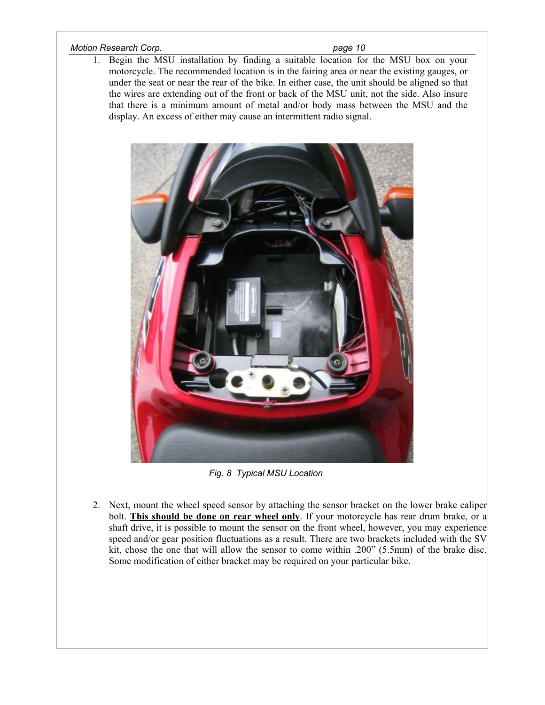## *Motion Research Corp. page 10 page 10*

1. Begin the MSU installation by finding a suitable location for the MSU box on your motorcycle. The recommended location is in the fairing area or near the existing gauges, or under the seat or near the rear of the bike. In either case, the unit should be aligned so that the wires are extending out of the front or back of the MSU unit, not the side. Also insure that there is a minimum amount of metal and/or body mass between the MSU and the display. An excess of either may cause an intermittent radio signal.



*Fig. 8 Typical MSU Location* 

2. Next, mount the wheel speed sensor by attaching the sensor bracket on the lower brake caliper bolt. **This should be done on rear wheel only**. If your motorcycle has rear drum brake, or a shaft drive, it is possible to mount the sensor on the front wheel, however, you may experience speed and/or gear position fluctuations as a result. There are two brackets included with the SV kit, chose the one that will allow the sensor to come within .200" (5.5mm) of the brake disc. Some modification of either bracket may be required on your particular bike.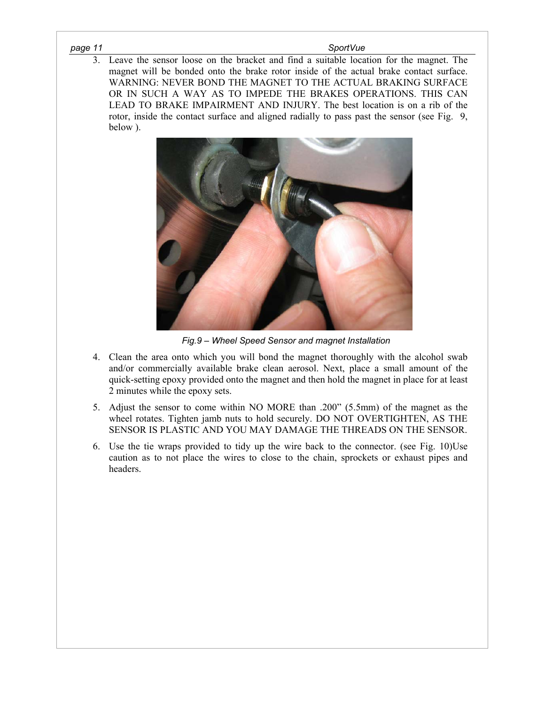#### *page 11 SportVue*

3. Leave the sensor loose on the bracket and find a suitable location for the magnet. The magnet will be bonded onto the brake rotor inside of the actual brake contact surface. WARNING: NEVER BOND THE MAGNET TO THE ACTUAL BRAKING SURFACE OR IN SUCH A WAY AS TO IMPEDE THE BRAKES OPERATIONS. THIS CAN LEAD TO BRAKE IMPAIRMENT AND INJURY. The best location is on a rib of the rotor, inside the contact surface and aligned radially to pass past the sensor (see Fig. 9, below ).



 *Fig.9 – Wheel Speed Sensor and magnet Installation* 

- 4. Clean the area onto which you will bond the magnet thoroughly with the alcohol swab and/or commercially available brake clean aerosol. Next, place a small amount of the quick-setting epoxy provided onto the magnet and then hold the magnet in place for at least 2 minutes while the epoxy sets.
- 5. Adjust the sensor to come within NO MORE than .200" (5.5mm) of the magnet as the wheel rotates. Tighten jamb nuts to hold securely. DO NOT OVERTIGHTEN, AS THE SENSOR IS PLASTIC AND YOU MAY DAMAGE THE THREADS ON THE SENSOR.
- 6. Use the tie wraps provided to tidy up the wire back to the connector. (see Fig. 10)Use caution as to not place the wires to close to the chain, sprockets or exhaust pipes and headers.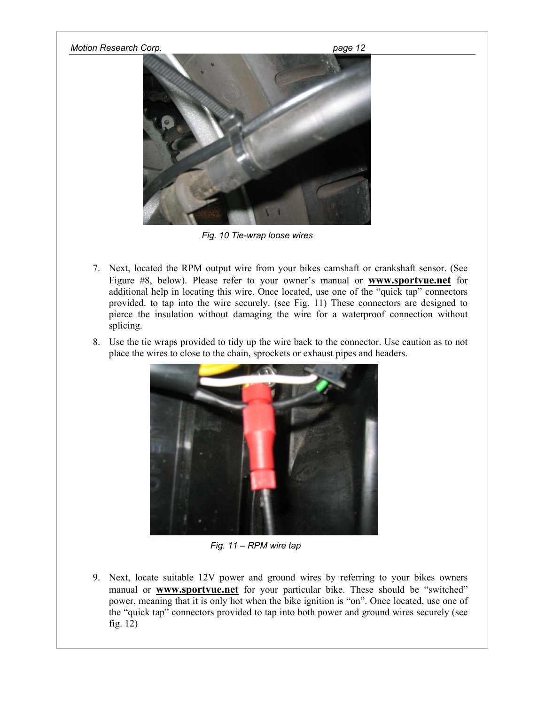## *Motion Research Corp. page 12*



*Fig. 10 Tie-wrap loose wires*

- 7. Next, located the RPM output wire from your bikes camshaft or crankshaft sensor. (See Figure #8, below). Please refer to your owner's manual or **www.sportvue.net** for additional help in locating this wire. Once located, use one of the "quick tap" connectors provided. to tap into the wire securely. (see Fig. 11) These connectors are designed to pierce the insulation without damaging the wire for a waterproof connection without splicing.
- 8. Use the tie wraps provided to tidy up the wire back to the connector. Use caution as to not place the wires to close to the chain, sprockets or exhaust pipes and headers.



*Fig. 11 – RPM wire tap* 

9. Next, locate suitable 12V power and ground wires by referring to your bikes owners manual or **www.sportvue.net** for your particular bike. These should be "switched" power, meaning that it is only hot when the bike ignition is "on". Once located, use one of the "quick tap" connectors provided to tap into both power and ground wires securely (see fig. 12)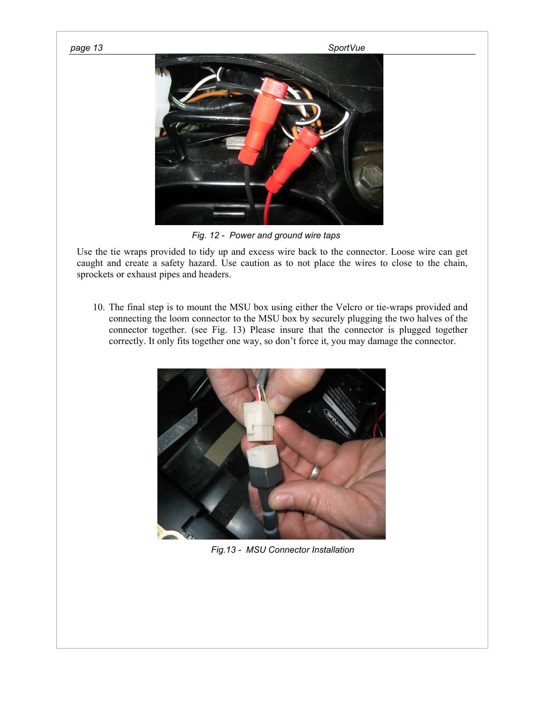

*Fig. 12 - Power and ground wire taps* 

Use the tie wraps provided to tidy up and excess wire back to the connector. Loose wire can get caught and create a safety hazard. Use caution as to not place the wires to close to the chain, sprockets or exhaust pipes and headers.

10. The final step is to mount the MSU box using either the Velcro or tie-wraps provided and connecting the loom connector to the MSU box by securely plugging the two halves of the connector together. (see Fig. 13) Please insure that the connector is plugged together correctly. It only fits together one way, so don't force it, you may damage the connector.



 *Fig.13 - MSU Connector Installation*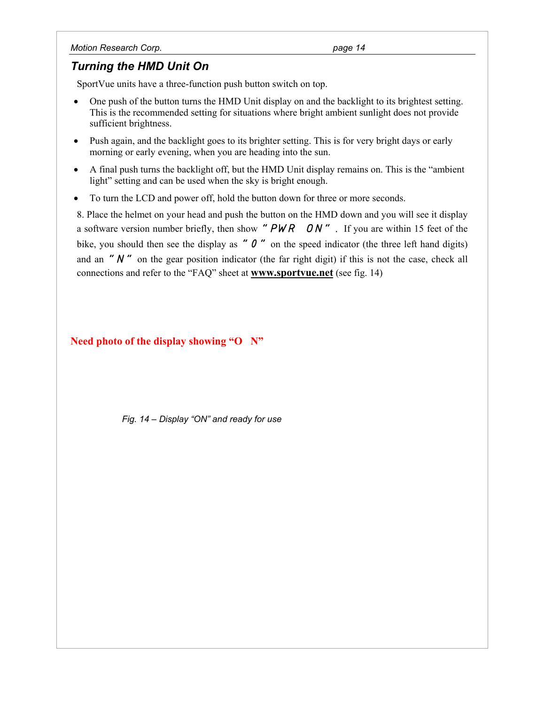# *Turning the HMD Unit On*

SportVue units have a three-function push button switch on top.

- One push of the button turns the HMD Unit display on and the backlight to its brightest setting. This is the recommended setting for situations where bright ambient sunlight does not provide sufficient brightness.
- Push again, and the backlight goes to its brighter setting. This is for very bright days or early morning or early evening, when you are heading into the sun.
- A final push turns the backlight off, but the HMD Unit display remains on. This is the "ambient light" setting and can be used when the sky is bright enough.
- To turn the LCD and power off, hold the button down for three or more seconds.

8. Place the helmet on your head and push the button on the HMD down and you will see it display a software version number briefly, then show *"PWR ON".* If you are within 15 feet of the bike, you should then see the display as "  $\theta$ " on the speed indicator (the three left hand digits) and an "N" on the gear position indicator (the far right digit) if this is not the case, check all connections and refer to the "FAQ" sheet at **www.sportvue.net** (see fig. 14)

# **Need photo of the display showing "O N"**

 *Fig. 14 – Display "ON" and ready for use*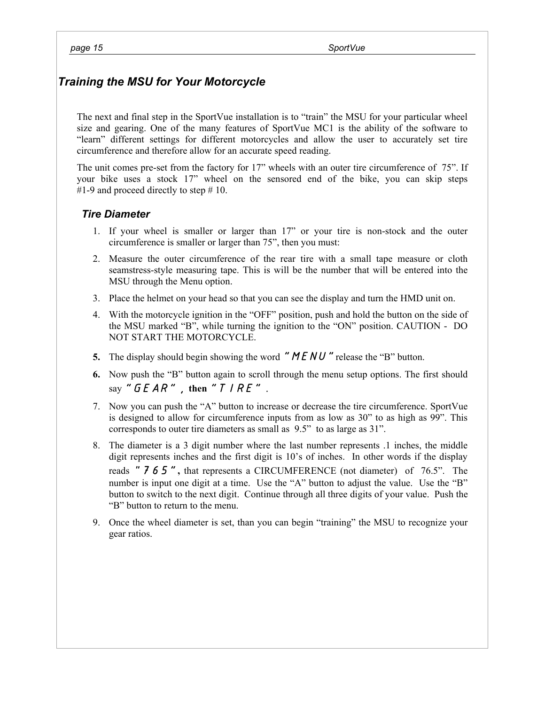# *Training the MSU for Your Motorcycle*

The next and final step in the SportVue installation is to "train" the MSU for your particular wheel size and gearing. One of the many features of SportVue MC1 is the ability of the software to "learn" different settings for different motorcycles and allow the user to accurately set tire circumference and therefore allow for an accurate speed reading.

The unit comes pre-set from the factory for 17" wheels with an outer tire circumference of 75". If your bike uses a stock 17" wheel on the sensored end of the bike, you can skip steps #1-9 and proceed directly to step  $# 10$ .

# *Tire Diameter*

- 1. If your wheel is smaller or larger than 17" or your tire is non-stock and the outer circumference is smaller or larger than 75", then you must:
- 2. Measure the outer circumference of the rear tire with a small tape measure or cloth seamstress-style measuring tape. This is will be the number that will be entered into the MSU through the Menu option.
- 3. Place the helmet on your head so that you can see the display and turn the HMD unit on.
- 4. With the motorcycle ignition in the "OFF" position, push and hold the button on the side of the MSU marked "B", while turning the ignition to the "ON" position. CAUTION - DO NOT START THE MOTORCYCLE.
- **5.** The display should begin showing the word *"MENU"*release the "B" button.
- **6.** Now push the "B" button again to scroll through the menu setup options. The first should say *"GEAR",* **then** *"TIRE".*
- 7. Now you can push the "A" button to increase or decrease the tire circumference. SportVue is designed to allow for circumference inputs from as low as 30" to as high as 99". This corresponds to outer tire diameters as small as 9.5" to as large as 31".
- 8. The diameter is a 3 digit number where the last number represents .1 inches, the middle digit represents inches and the first digit is 10's of inches. In other words if the display reads "*765"***,** that represents a CIRCUMFERENCE (not diameter) of 76.5". The number is input one digit at a time. Use the "A" button to adjust the value. Use the "B" button to switch to the next digit. Continue through all three digits of your value. Push the "B" button to return to the menu.
- 9. Once the wheel diameter is set, than you can begin "training" the MSU to recognize your gear ratios.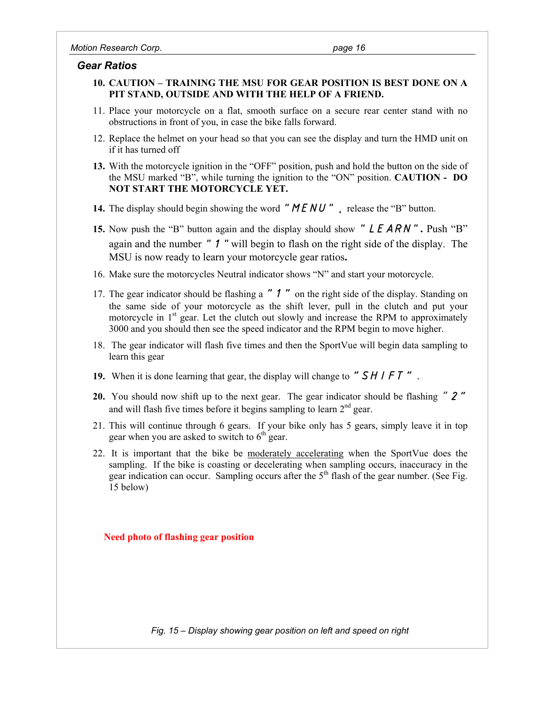# *Gear Ratios*

- **10. CAUTION TRAINING THE MSU FOR GEAR POSITION IS BEST DONE ON A PIT STAND, OUTSIDE AND WITH THE HELP OF A FRIEND.**
- 11. Place your motorcycle on a flat, smooth surface on a secure rear center stand with no obstructions in front of you, in case the bike falls forward.
- 12. Replace the helmet on your head so that you can see the display and turn the HMD unit on if it has turned off
- **13.** With the motorcycle ignition in the "OFF" position, push and hold the button on the side of the MSU marked "B", while turning the ignition to the "ON" position. **CAUTION - DO NOT START THE MOTORCYCLE YET.**
- **14.** The display should begin showing the word "*MENU*", release the "B" button.
- **15.** Now push the "B" button again and the display should show "*LEARN*"**.** Push "B" again and the number "*1*"will begin to flash on the right side of the display. The MSU is now ready to learn your motorcycle gear ratios**.**
- 16. Make sure the motorcycles Neutral indicator shows "N" and start your motorcycle.
- 17. The gear indicator should be flashing a *"1"* on the right side of the display. Standing on the same side of your motorcycle as the shift lever, pull in the clutch and put your motorcycle in  $1<sup>st</sup>$  gear. Let the clutch out slowly and increase the RPM to approximately 3000 and you should then see the speed indicator and the RPM begin to move higher.
- 18. The gear indicator will flash five times and then the SportVue will begin data sampling to learn this gear
- **19.** When it is done learning that gear, the display will change to *"SHIFT".*
- **20.** You should now shift up to the next gear. The gear indicator should be flashing *"2"* and will flash five times before it begins sampling to learn  $2<sup>nd</sup>$  gear.
- 21. This will continue through 6 gears. If your bike only has 5 gears, simply leave it in top gear when you are asked to switch to  $6<sup>th</sup>$  gear.
- 22. It is important that the bike be moderately accelerating when the SportVue does the sampling. If the bike is coasting or decelerating when sampling occurs, inaccuracy in the gear indication can occur. Sampling occurs after the  $5<sup>th</sup>$  flash of the gear number. (See Fig. 15 below)

# **Need photo of flashing gear position**

*Fig. 15 – Display showing gear position on left and speed on right*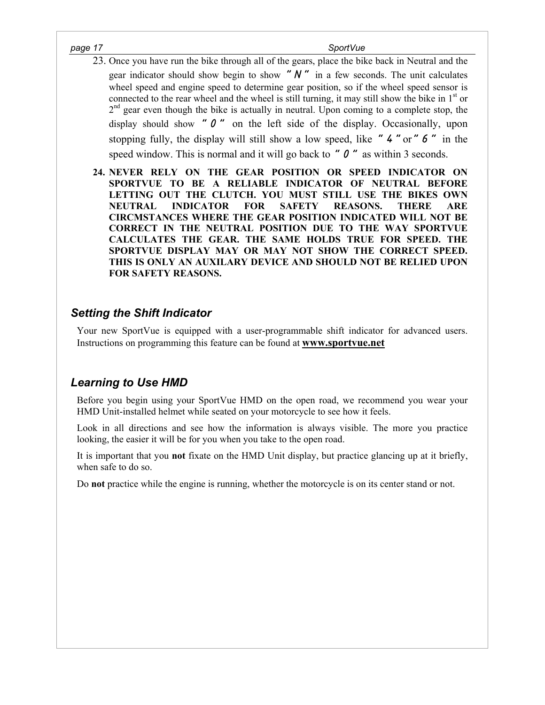- 23. Once you have run the bike through all of the gears, place the bike back in Neutral and the gear indicator should show begin to show " $N$ " in a few seconds. The unit calculates wheel speed and engine speed to determine gear position, so if the wheel speed sensor is connected to the rear wheel and the wheel is still turning, it may still show the bike in  $1<sup>st</sup>$  or  $2<sup>nd</sup>$  gear even though the bike is actually in neutral. Upon coming to a complete stop, the display should show *"0"* on the left side of the display. Occasionally, upon stopping fully, the display will still show a low speed, like *"4"*or*"6"* in the speed window. This is normal and it will go back to *"0"* as within 3 seconds.
- **24. NEVER RELY ON THE GEAR POSITION OR SPEED INDICATOR ON SPORTVUE TO BE A RELIABLE INDICATOR OF NEUTRAL BEFORE LETTING OUT THE CLUTCH. YOU MUST STILL USE THE BIKES OWN NEUTRAL INDICATOR FOR SAFETY REASONS. THERE ARE CIRCMSTANCES WHERE THE GEAR POSITION INDICATED WILL NOT BE CORRECT IN THE NEUTRAL POSITION DUE TO THE WAY SPORTVUE CALCULATES THE GEAR. THE SAME HOLDS TRUE FOR SPEED. THE SPORTVUE DISPLAY MAY OR MAY NOT SHOW THE CORRECT SPEED. THIS IS ONLY AN AUXILARY DEVICE AND SHOULD NOT BE RELIED UPON FOR SAFETY REASONS.**

# *Setting the Shift Indicator*

Your new SportVue is equipped with a user-programmable shift indicator for advanced users. Instructions on programming this feature can be found at **www.sportvue.net**

# *Learning to Use HMD*

Before you begin using your SportVue HMD on the open road, we recommend you wear your HMD Unit-installed helmet while seated on your motorcycle to see how it feels.

Look in all directions and see how the information is always visible. The more you practice looking, the easier it will be for you when you take to the open road.

It is important that you **not** fixate on the HMD Unit display, but practice glancing up at it briefly, when safe to do so.

Do **not** practice while the engine is running, whether the motorcycle is on its center stand or not.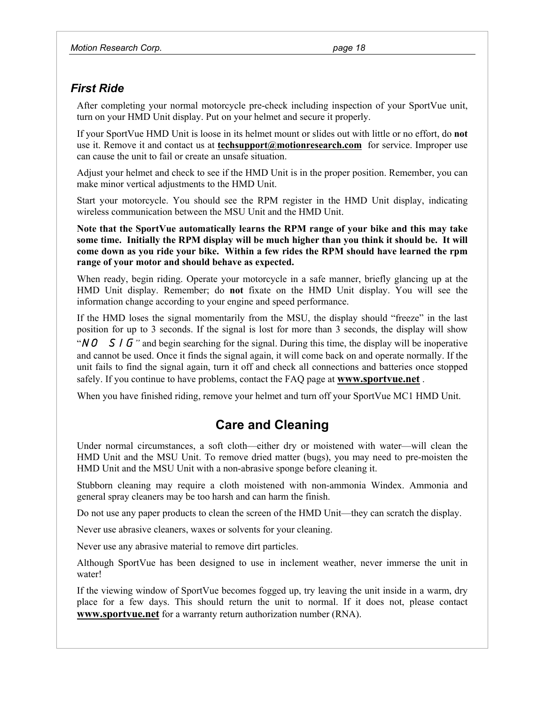# *First Ride*

After completing your normal motorcycle pre-check including inspection of your SportVue unit, turn on your HMD Unit display. Put on your helmet and secure it properly.

If your SportVue HMD Unit is loose in its helmet mount or slides out with little or no effort, do **not** use it. Remove it and contact us at **techsupport@motionresearch.com** for service. Improper use can cause the unit to fail or create an unsafe situation.

Adjust your helmet and check to see if the HMD Unit is in the proper position. Remember, you can make minor vertical adjustments to the HMD Unit.

Start your motorcycle. You should see the RPM register in the HMD Unit display, indicating wireless communication between the MSU Unit and the HMD Unit.

**Note that the SportVue automatically learns the RPM range of your bike and this may take some time. Initially the RPM display will be much higher than you think it should be. It will come down as you ride your bike. Within a few rides the RPM should have learned the rpm range of your motor and should behave as expected.** 

When ready, begin riding. Operate your motorcycle in a safe manner, briefly glancing up at the HMD Unit display. Remember; do **not** fixate on the HMD Unit display. You will see the information change according to your engine and speed performance.

If the HMD loses the signal momentarily from the MSU, the display should "freeze" in the last position for up to 3 seconds. If the signal is lost for more than 3 seconds, the display will show

"*NO SIG"* and begin searching for the signal. During this time, the display will be inoperative and cannot be used. Once it finds the signal again, it will come back on and operate normally. If the unit fails to find the signal again, turn it off and check all connections and batteries once stopped safely. If you continue to have problems, contact the FAQ page at **www.sportvue.net** .

When you have finished riding, remove your helmet and turn off your SportVue MC1 HMD Unit.

# **Care and Cleaning**

Under normal circumstances, a soft cloth—either dry or moistened with water—will clean the HMD Unit and the MSU Unit. To remove dried matter (bugs), you may need to pre-moisten the HMD Unit and the MSU Unit with a non-abrasive sponge before cleaning it.

Stubborn cleaning may require a cloth moistened with non-ammonia Windex. Ammonia and general spray cleaners may be too harsh and can harm the finish.

Do not use any paper products to clean the screen of the HMD Unit—they can scratch the display.

Never use abrasive cleaners, waxes or solvents for your cleaning.

Never use any abrasive material to remove dirt particles.

Although SportVue has been designed to use in inclement weather, never immerse the unit in water!

If the viewing window of SportVue becomes fogged up, try leaving the unit inside in a warm, dry place for a few days. This should return the unit to normal. If it does not, please contact **www.sportvue.net** for a warranty return authorization number (RNA).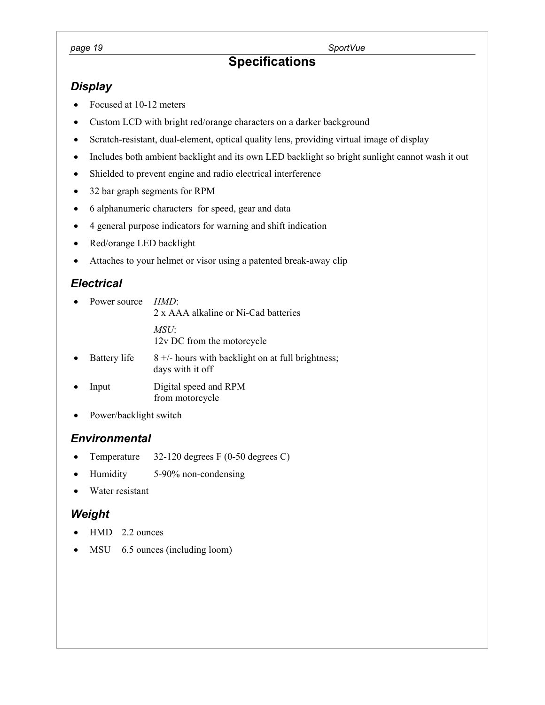## page 19 SportVue *page 19*

# **Specifications**

# *Display*

- Focused at 10-12 meters
- Custom LCD with bright red/orange characters on a darker background
- Scratch-resistant, dual-element, optical quality lens, providing virtual image of display
- Includes both ambient backlight and its own LED backlight so bright sunlight cannot wash it out
- Shielded to prevent engine and radio electrical interference
- 32 bar graph segments for RPM
- 6 alphanumeric characters for speed, gear and data
- 4 general purpose indicators for warning and shift indication
- Red/orange LED backlight
- Attaches to your helmet or visor using a patented break-away clip

# *Electrical*

- Power source *HMD*: 2 x AAA alkaline or Ni-Cad batteries *MSU*: 12v DC from the motorcycle
- Battery life  $8 +/-$  hours with backlight on at full brightness; days with it off
- Input Digital speed and RPM from motorcycle
- Power/backlight switch

# *Environmental*

- Temperature 32-120 degrees F (0-50 degrees C)
- Humidity 5-90% non-condensing
- Water resistant

# *Weight*

- HMD 2.2 ounces
- MSU 6.5 ounces (including loom)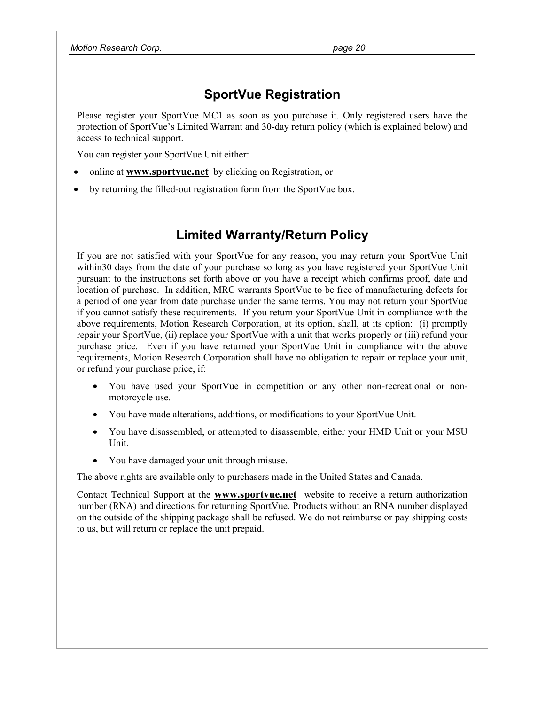# **SportVue Registration**

Please register your SportVue MC1 as soon as you purchase it. Only registered users have the protection of SportVue's Limited Warrant and 30-day return policy (which is explained below) and access to technical support.

You can register your SportVue Unit either:

- online at **www.sportvue.net** by clicking on Registration, or
- by returning the filled-out registration form from the SportVue box.

# **Limited Warranty/Return Policy**

If you are not satisfied with your SportVue for any reason, you may return your SportVue Unit within30 days from the date of your purchase so long as you have registered your SportVue Unit pursuant to the instructions set forth above or you have a receipt which confirms proof, date and location of purchase. In addition, MRC warrants SportVue to be free of manufacturing defects for a period of one year from date purchase under the same terms. You may not return your SportVue if you cannot satisfy these requirements. If you return your SportVue Unit in compliance with the above requirements, Motion Research Corporation, at its option, shall, at its option: (i) promptly repair your SportVue, (ii) replace your SportVue with a unit that works properly or (iii) refund your purchase price. Even if you have returned your SportVue Unit in compliance with the above requirements, Motion Research Corporation shall have no obligation to repair or replace your unit, or refund your purchase price, if:

- You have used your SportVue in competition or any other non-recreational or nonmotorcycle use.
- You have made alterations, additions, or modifications to your SportVue Unit.
- You have disassembled, or attempted to disassemble, either your HMD Unit or your MSU Unit.
- You have damaged your unit through misuse.

The above rights are available only to purchasers made in the United States and Canada.

Contact Technical Support at the **www.sportvue.net** website to receive a return authorization number (RNA) and directions for returning SportVue. Products without an RNA number displayed on the outside of the shipping package shall be refused. We do not reimburse or pay shipping costs to us, but will return or replace the unit prepaid.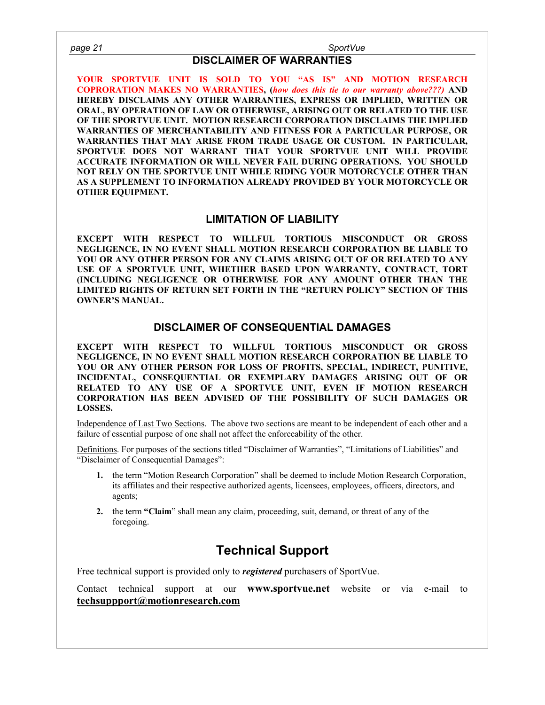# **DISCLAIMER OF WARRANTIES**

**YOUR SPORTVUE UNIT IS SOLD TO YOU "AS IS" AND MOTION RESEARCH COPRORATION MAKES NO WARRANTIES, (***how does this tie to our warranty above???)* **AND HEREBY DISCLAIMS ANY OTHER WARRANTIES, EXPRESS OR IMPLIED, WRITTEN OR ORAL, BY OPERATION OF LAW OR OTHERWISE, ARISING OUT OR RELATED TO THE USE OF THE SPORTVUE UNIT. MOTION RESEARCH CORPORATION DISCLAIMS THE IMPLIED WARRANTIES OF MERCHANTABILITY AND FITNESS FOR A PARTICULAR PURPOSE, OR WARRANTIES THAT MAY ARISE FROM TRADE USAGE OR CUSTOM. IN PARTICULAR, SPORTVUE DOES NOT WARRANT THAT YOUR SPORTVUE UNIT WILL PROVIDE ACCURATE INFORMATION OR WILL NEVER FAIL DURING OPERATIONS. YOU SHOULD NOT RELY ON THE SPORTVUE UNIT WHILE RIDING YOUR MOTORCYCLE OTHER THAN AS A SUPPLEMENT TO INFORMATION ALREADY PROVIDED BY YOUR MOTORCYCLE OR OTHER EQUIPMENT.** 

# **LIMITATION OF LIABILITY**

**EXCEPT WITH RESPECT TO WILLFUL TORTIOUS MISCONDUCT OR GROSS NEGLIGENCE, IN NO EVENT SHALL MOTION RESEARCH CORPORATION BE LIABLE TO YOU OR ANY OTHER PERSON FOR ANY CLAIMS ARISING OUT OF OR RELATED TO ANY USE OF A SPORTVUE UNIT, WHETHER BASED UPON WARRANTY, CONTRACT, TORT (INCLUDING NEGLIGENCE OR OTHERWISE FOR ANY AMOUNT OTHER THAN THE LIMITED RIGHTS OF RETURN SET FORTH IN THE "RETURN POLICY" SECTION OF THIS OWNER'S MANUAL.** 

# **DISCLAIMER OF CONSEQUENTIAL DAMAGES**

**EXCEPT WITH RESPECT TO WILLFUL TORTIOUS MISCONDUCT OR GROSS NEGLIGENCE, IN NO EVENT SHALL MOTION RESEARCH CORPORATION BE LIABLE TO YOU OR ANY OTHER PERSON FOR LOSS OF PROFITS, SPECIAL, INDIRECT, PUNITIVE, INCIDENTAL, CONSEQUENTIAL OR EXEMPLARY DAMAGES ARISING OUT OF OR RELATED TO ANY USE OF A SPORTVUE UNIT, EVEN IF MOTION RESEARCH CORPORATION HAS BEEN ADVISED OF THE POSSIBILITY OF SUCH DAMAGES OR LOSSES.** 

Independence of Last Two Sections. The above two sections are meant to be independent of each other and a failure of essential purpose of one shall not affect the enforceability of the other.

Definitions. For purposes of the sections titled "Disclaimer of Warranties", "Limitations of Liabilities" and "Disclaimer of Consequential Damages":

- **1.** the term "Motion Research Corporation" shall be deemed to include Motion Research Corporation, its affiliates and their respective authorized agents, licensees, employees, officers, directors, and agents;
- **2.** the term **"Claim**" shall mean any claim, proceeding, suit, demand, or threat of any of the foregoing.

# **Technical Support**

Free technical support is provided only to *registered* purchasers of SportVue.

Contact technical support at our **www.sportvue.net** website or via e-mail to **techsuppport@motionresearch.com**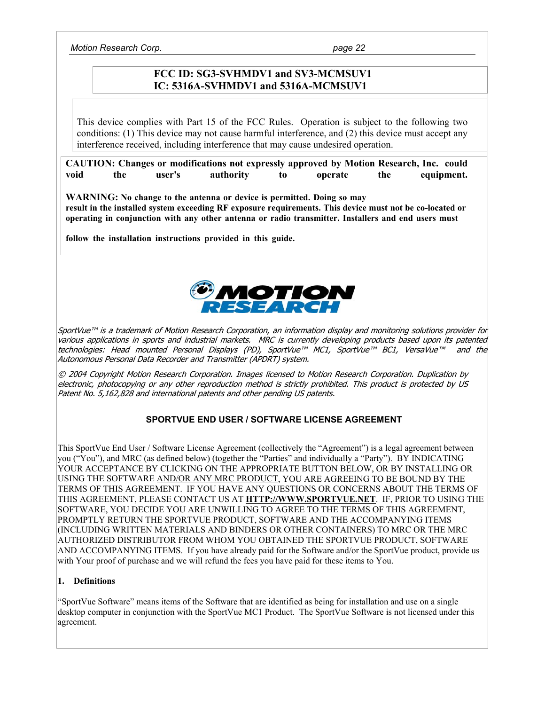*Motion Research Corp. page 22* 

# **FCC ID: SG3-SVHMDV1 and SV3-MCMSUV1 IC: 5316A-SVHMDV1 and 5316A-MCMSUV1**

This device complies with Part 15 of the FCC Rules. Operation is subject to the following two conditions: (1) This device may not cause harmful interference, and (2) this device must accept any interference received, including interference that may cause undesired operation.

**CAUTION: Changes or modifications not expressly approved by Motion Research, Inc. could void the user's authority to operate the equipment.** 

**WARNING: No change to the antenna or device is permitted. Doing so may result in the installed system exceeding RF exposure requirements. This device must not be co-located or operating in conjunction with any other antenna or radio transmitter. Installers and end users must** 

**follow the installation instructions provided in this guide.**



SportVue™ is a trademark of Motion Research Corporation, an information display and monitoring solutions provider for various applications in sports and industrial markets. MRC is currently developing products based upon its patented technologies: Head mounted Personal Displays (PD), SportVue™ MC1, SportVue™ BC1, VersaVue™ and the Autonomous Personal Data Recorder and Transmitter (APDRT) system.

© 2004 Copyright Motion Research Corporation. Images licensed to Motion Research Corporation. Duplication by electronic, photocopying or any other reproduction method is strictly prohibited. This product is protected by US Patent No. 5,162,828 and international patents and other pending US patents.

# **SPORTVUE END USER / SOFTWARE LICENSE AGREEMENT**

This SportVue End User / Software License Agreement (collectively the "Agreement") is a legal agreement between you ("You"), and MRC (as defined below) (together the "Parties" and individually a "Party"). BY INDICATING YOUR ACCEPTANCE BY CLICKING ON THE APPROPRIATE BUTTON BELOW, OR BY INSTALLING OR USING THE SOFTWARE AND/OR ANY MRC PRODUCT, YOU ARE AGREEING TO BE BOUND BY THE TERMS OF THIS AGREEMENT. IF YOU HAVE ANY QUESTIONS OR CONCERNS ABOUT THE TERMS OF THIS AGREEMENT, PLEASE CONTACT US AT **HTTP://WWW.SPORTVUE.NET**. IF, PRIOR TO USING THE SOFTWARE, YOU DECIDE YOU ARE UNWILLING TO AGREE TO THE TERMS OF THIS AGREEMENT, PROMPTLY RETURN THE SPORTVUE PRODUCT, SOFTWARE AND THE ACCOMPANYING ITEMS (INCLUDING WRITTEN MATERIALS AND BINDERS OR OTHER CONTAINERS) TO MRC OR THE MRC AUTHORIZED DISTRIBUTOR FROM WHOM YOU OBTAINED THE SPORTVUE PRODUCT, SOFTWARE AND ACCOMPANYING ITEMS. If you have already paid for the Software and/or the SportVue product, provide us with Your proof of purchase and we will refund the fees you have paid for these items to You.

### **1. Definitions**

"SportVue Software" means items of the Software that are identified as being for installation and use on a single desktop computer in conjunction with the SportVue MC1 Product. The SportVue Software is not licensed under this agreement.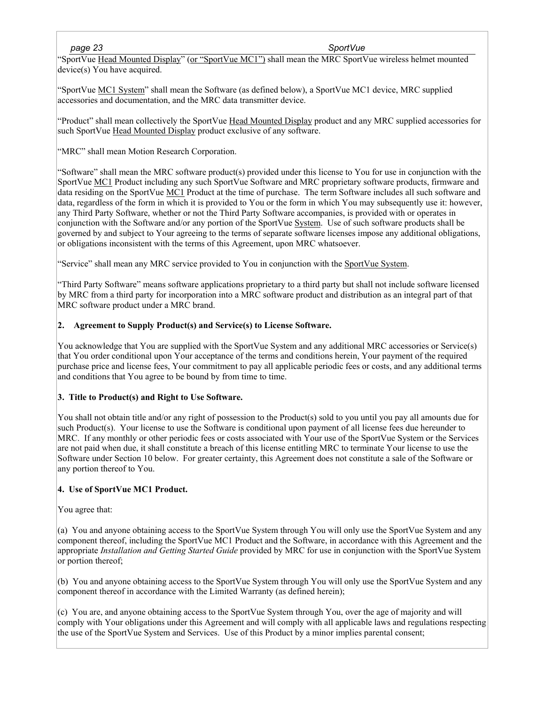## *page 23 SportVue*

"SportVue Head Mounted Display" (or "SportVue MC1") shall mean the MRC SportVue wireless helmet mounted device(s) You have acquired.

"SportVue MC1 System" shall mean the Software (as defined below), a SportVue MC1 device, MRC supplied accessories and documentation, and the MRC data transmitter device.

"Product" shall mean collectively the SportVue Head Mounted Display product and any MRC supplied accessories for such SportVue Head Mounted Display product exclusive of any software.

"MRC" shall mean Motion Research Corporation.

"Software" shall mean the MRC software product(s) provided under this license to You for use in conjunction with the SportVue MC1 Product including any such SportVue Software and MRC proprietary software products, firmware and data residing on the SportVue MC1 Product at the time of purchase. The term Software includes all such software and data, regardless of the form in which it is provided to You or the form in which You may subsequently use it: however, any Third Party Software, whether or not the Third Party Software accompanies, is provided with or operates in conjunction with the Software and/or any portion of the SportVue System. Use of such software products shall be governed by and subject to Your agreeing to the terms of separate software licenses impose any additional obligations, or obligations inconsistent with the terms of this Agreement, upon MRC whatsoever.

"Service" shall mean any MRC service provided to You in conjunction with the SportVue System.

"Third Party Software" means software applications proprietary to a third party but shall not include software licensed by MRC from a third party for incorporation into a MRC software product and distribution as an integral part of that MRC software product under a MRC brand.

## **2. Agreement to Supply Product(s) and Service(s) to License Software.**

You acknowledge that You are supplied with the SportVue System and any additional MRC accessories or Service(s) that You order conditional upon Your acceptance of the terms and conditions herein, Your payment of the required purchase price and license fees, Your commitment to pay all applicable periodic fees or costs, and any additional terms and conditions that You agree to be bound by from time to time.

### **3. Title to Product(s) and Right to Use Software.**

You shall not obtain title and/or any right of possession to the Product(s) sold to you until you pay all amounts due for such Product(s). Your license to use the Software is conditional upon payment of all license fees due hereunder to MRC. If any monthly or other periodic fees or costs associated with Your use of the SportVue System or the Services are not paid when due, it shall constitute a breach of this license entitling MRC to terminate Your license to use the Software under Section 10 below. For greater certainty, this Agreement does not constitute a sale of the Software or any portion thereof to You.

### **4. Use of SportVue MC1 Product.**

### You agree that:

(a) You and anyone obtaining access to the SportVue System through You will only use the SportVue System and any component thereof, including the SportVue MC1 Product and the Software, in accordance with this Agreement and the appropriate *Installation and Getting Started Guide* provided by MRC for use in conjunction with the SportVue System or portion thereof;

(b) You and anyone obtaining access to the SportVue System through You will only use the SportVue System and any component thereof in accordance with the Limited Warranty (as defined herein);

(c) You are, and anyone obtaining access to the SportVue System through You, over the age of majority and will comply with Your obligations under this Agreement and will comply with all applicable laws and regulations respecting the use of the SportVue System and Services. Use of this Product by a minor implies parental consent;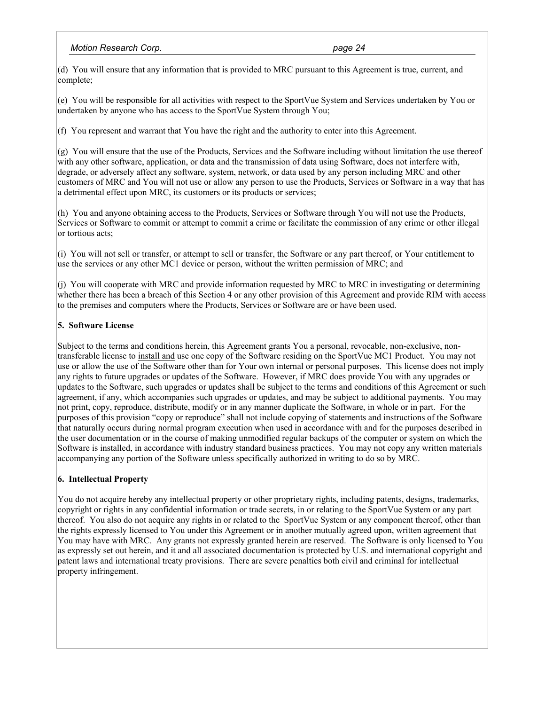### *Motion Research Corp. page 24 page 24 page 24*

(d) You will ensure that any information that is provided to MRC pursuant to this Agreement is true, current, and complete;

(e) You will be responsible for all activities with respect to the SportVue System and Services undertaken by You or undertaken by anyone who has access to the SportVue System through You;

(f) You represent and warrant that You have the right and the authority to enter into this Agreement.

(g) You will ensure that the use of the Products, Services and the Software including without limitation the use thereof with any other software, application, or data and the transmission of data using Software, does not interfere with, degrade, or adversely affect any software, system, network, or data used by any person including MRC and other customers of MRC and You will not use or allow any person to use the Products, Services or Software in a way that has a detrimental effect upon MRC, its customers or its products or services;

(h) You and anyone obtaining access to the Products, Services or Software through You will not use the Products, Services or Software to commit or attempt to commit a crime or facilitate the commission of any crime or other illegal or tortious acts;

(i) You will not sell or transfer, or attempt to sell or transfer, the Software or any part thereof, or Your entitlement to use the services or any other MC1 device or person, without the written permission of MRC; and

(j) You will cooperate with MRC and provide information requested by MRC to MRC in investigating or determining whether there has been a breach of this Section 4 or any other provision of this Agreement and provide RIM with access to the premises and computers where the Products, Services or Software are or have been used.

## **5. Software License**

Subject to the terms and conditions herein, this Agreement grants You a personal, revocable, non-exclusive, nontransferable license to install and use one copy of the Software residing on the SportVue MC1 Product. You may not use or allow the use of the Software other than for Your own internal or personal purposes. This license does not imply any rights to future upgrades or updates of the Software. However, if MRC does provide You with any upgrades or updates to the Software, such upgrades or updates shall be subject to the terms and conditions of this Agreement or such agreement, if any, which accompanies such upgrades or updates, and may be subject to additional payments. You may not print, copy, reproduce, distribute, modify or in any manner duplicate the Software, in whole or in part. For the purposes of this provision "copy or reproduce" shall not include copying of statements and instructions of the Software that naturally occurs during normal program execution when used in accordance with and for the purposes described in the user documentation or in the course of making unmodified regular backups of the computer or system on which the Software is installed, in accordance with industry standard business practices. You may not copy any written materials accompanying any portion of the Software unless specifically authorized in writing to do so by MRC.

### **6. Intellectual Property**

You do not acquire hereby any intellectual property or other proprietary rights, including patents, designs, trademarks, copyright or rights in any confidential information or trade secrets, in or relating to the SportVue System or any part thereof. You also do not acquire any rights in or related to the SportVue System or any component thereof, other than the rights expressly licensed to You under this Agreement or in another mutually agreed upon, written agreement that You may have with MRC. Any grants not expressly granted herein are reserved. The Software is only licensed to You as expressly set out herein, and it and all associated documentation is protected by U.S. and international copyright and patent laws and international treaty provisions. There are severe penalties both civil and criminal for intellectual property infringement.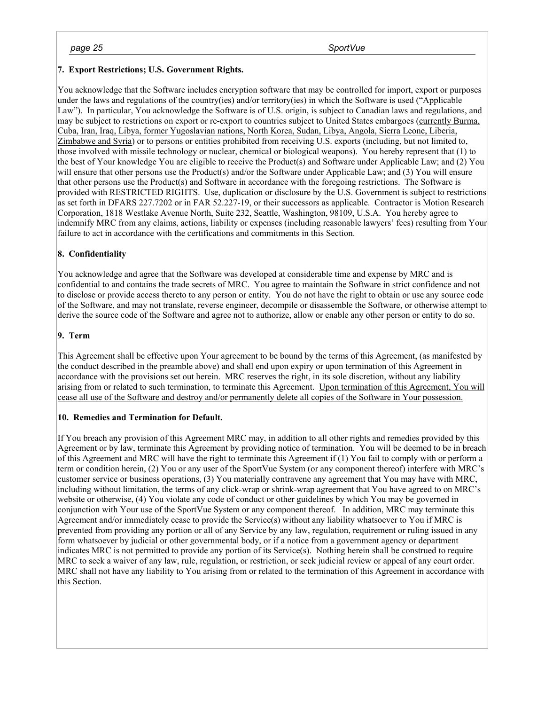#### *page 25 SportVue*

## **7. Export Restrictions; U.S. Government Rights.**

You acknowledge that the Software includes encryption software that may be controlled for import, export or purposes under the laws and regulations of the country(ies) and/or territory(ies) in which the Software is used ("Applicable Law"). In particular, You acknowledge the Software is of U.S. origin, is subject to Canadian laws and regulations, and may be subject to restrictions on export or re-export to countries subject to United States embargoes (currently Burma, Cuba, Iran, Iraq, Libya, former Yugoslavian nations, North Korea, Sudan, Libya, Angola, Sierra Leone, Liberia, Zimbabwe and Syria) or to persons or entities prohibited from receiving U.S. exports (including, but not limited to, those involved with missile technology or nuclear, chemical or biological weapons). You hereby represent that (1) to the best of Your knowledge You are eligible to receive the Product(s) and Software under Applicable Law; and (2) You will ensure that other persons use the Product(s) and/or the Software under Applicable Law; and (3) You will ensure that other persons use the Product(s) and Software in accordance with the foregoing restrictions. The Software is provided with RESTRICTED RIGHTS. Use, duplication or disclosure by the U.S. Government is subject to restrictions as set forth in DFARS 227.7202 or in FAR 52.227-19, or their successors as applicable. Contractor is Motion Research Corporation, 1818 Westlake Avenue North, Suite 232, Seattle, Washington, 98109, U.S.A. You hereby agree to indemnify MRC from any claims, actions, liability or expenses (including reasonable lawyers' fees) resulting from Your failure to act in accordance with the certifications and commitments in this Section.

## **8. Confidentiality**

You acknowledge and agree that the Software was developed at considerable time and expense by MRC and is confidential to and contains the trade secrets of MRC. You agree to maintain the Software in strict confidence and not to disclose or provide access thereto to any person or entity. You do not have the right to obtain or use any source code of the Software, and may not translate, reverse engineer, decompile or disassemble the Software, or otherwise attempt to derive the source code of the Software and agree not to authorize, allow or enable any other person or entity to do so.

### **9. Term**

This Agreement shall be effective upon Your agreement to be bound by the terms of this Agreement, (as manifested by the conduct described in the preamble above) and shall end upon expiry or upon termination of this Agreement in accordance with the provisions set out herein. MRC reserves the right, in its sole discretion, without any liability arising from or related to such termination, to terminate this Agreement. Upon termination of this Agreement, You will cease all use of the Software and destroy and/or permanently delete all copies of the Software in Your possession.

### **10. Remedies and Termination for Default.**

If You breach any provision of this Agreement MRC may, in addition to all other rights and remedies provided by this Agreement or by law, terminate this Agreement by providing notice of termination. You will be deemed to be in breach of this Agreement and MRC will have the right to terminate this Agreement if (1) You fail to comply with or perform a term or condition herein, (2) You or any user of the SportVue System (or any component thereof) interfere with MRC's customer service or business operations, (3) You materially contravene any agreement that You may have with MRC, including without limitation, the terms of any click-wrap or shrink-wrap agreement that You have agreed to on MRC's website or otherwise, (4) You violate any code of conduct or other guidelines by which You may be governed in conjunction with Your use of the SportVue System or any component thereof. In addition, MRC may terminate this Agreement and/or immediately cease to provide the Service(s) without any liability whatsoever to You if MRC is prevented from providing any portion or all of any Service by any law, regulation, requirement or ruling issued in any form whatsoever by judicial or other governmental body, or if a notice from a government agency or department indicates MRC is not permitted to provide any portion of its Service(s). Nothing herein shall be construed to require MRC to seek a waiver of any law, rule, regulation, or restriction, or seek judicial review or appeal of any court order. MRC shall not have any liability to You arising from or related to the termination of this Agreement in accordance with this Section.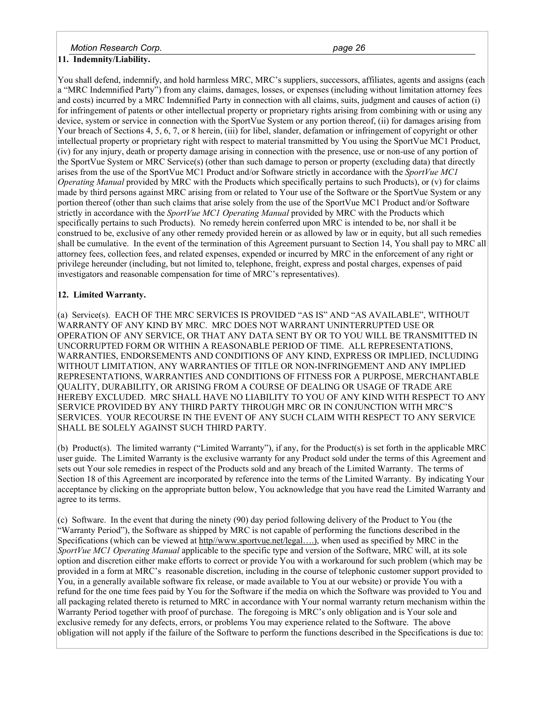*Motion Research Corp. page 26* 

# **11. Indemnity/Liability.**

You shall defend, indemnify, and hold harmless MRC, MRC's suppliers, successors, affiliates, agents and assigns (each a "MRC Indemnified Party") from any claims, damages, losses, or expenses (including without limitation attorney fees and costs) incurred by a MRC Indemnified Party in connection with all claims, suits, judgment and causes of action (i) for infringement of patents or other intellectual property or proprietary rights arising from combining with or using any device, system or service in connection with the SportVue System or any portion thereof, (ii) for damages arising from Your breach of Sections 4, 5, 6, 7, or 8 herein, (iii) for libel, slander, defamation or infringement of copyright or other intellectual property or proprietary right with respect to material transmitted by You using the SportVue MC1 Product, (iv) for any injury, death or property damage arising in connection with the presence, use or non-use of any portion of the SportVue System or MRC Service(s) (other than such damage to person or property (excluding data) that directly arises from the use of the SportVue MC1 Product and/or Software strictly in accordance with the *SportVue MC1 Operating Manual* provided by MRC with the Products which specifically pertains to such Products), or (v) for claims made by third persons against MRC arising from or related to Your use of the Software or the SportVue System or any portion thereof (other than such claims that arise solely from the use of the SportVue MC1 Product and/or Software strictly in accordance with the *SportVue MC1 Operating Manual* provided by MRC with the Products which specifically pertains to such Products). No remedy herein conferred upon MRC is intended to be, nor shall it be construed to be, exclusive of any other remedy provided herein or as allowed by law or in equity, but all such remedies shall be cumulative. In the event of the termination of this Agreement pursuant to Section 14, You shall pay to MRC all attorney fees, collection fees, and related expenses, expended or incurred by MRC in the enforcement of any right or privilege hereunder (including, but not limited to, telephone, freight, express and postal charges, expenses of paid investigators and reasonable compensation for time of MRC's representatives).

### **12. Limited Warranty.**

(a) Service(s). EACH OF THE MRC SERVICES IS PROVIDED "AS IS" AND "AS AVAILABLE", WITHOUT WARRANTY OF ANY KIND BY MRC. MRC DOES NOT WARRANT UNINTERRUPTED USE OR OPERATION OF ANY SERVICE, OR THAT ANY DATA SENT BY OR TO YOU WILL BE TRANSMITTED IN UNCORRUPTED FORM OR WITHIN A REASONABLE PERIOD OF TIME. ALL REPRESENTATIONS, WARRANTIES, ENDORSEMENTS AND CONDITIONS OF ANY KIND, EXPRESS OR IMPLIED, INCLUDING WITHOUT LIMITATION, ANY WARRANTIES OF TITLE OR NON-INFRINGEMENT AND ANY IMPLIED REPRESENTATIONS, WARRANTIES AND CONDITIONS OF FITNESS FOR A PURPOSE, MERCHANTABLE QUALITY, DURABILITY, OR ARISING FROM A COURSE OF DEALING OR USAGE OF TRADE ARE HEREBY EXCLUDED. MRC SHALL HAVE NO LIABILITY TO YOU OF ANY KIND WITH RESPECT TO ANY SERVICE PROVIDED BY ANY THIRD PARTY THROUGH MRC OR IN CONJUNCTION WITH MRC'S SERVICES. YOUR RECOURSE IN THE EVENT OF ANY SUCH CLAIM WITH RESPECT TO ANY SERVICE SHALL BE SOLELY AGAINST SUCH THIRD PARTY.

(b) Product(s). The limited warranty ("Limited Warranty"), if any, for the Product(s) is set forth in the applicable MRC user guide. The Limited Warranty is the exclusive warranty for any Product sold under the terms of this Agreement and sets out Your sole remedies in respect of the Products sold and any breach of the Limited Warranty. The terms of Section 18 of this Agreement are incorporated by reference into the terms of the Limited Warranty. By indicating Your acceptance by clicking on the appropriate button below, You acknowledge that you have read the Limited Warranty and agree to its terms.

(c) Software. In the event that during the ninety (90) day period following delivery of the Product to You (the "Warranty Period"), the Software as shipped by MRC is not capable of performing the functions described in the Specifications (which can be viewed at http//www.sportvue.net/legal....), when used as specified by MRC in the *SportVue MC1 Operating Manual* applicable to the specific type and version of the Software, MRC will, at its sole option and discretion either make efforts to correct or provide You with a workaround for such problem (which may be provided in a form at MRC's reasonable discretion, including in the course of telephonic customer support provided to You, in a generally available software fix release, or made available to You at our website) or provide You with a refund for the one time fees paid by You for the Software if the media on which the Software was provided to You and all packaging related thereto is returned to MRC in accordance with Your normal warranty return mechanism within the Warranty Period together with proof of purchase. The foregoing is MRC's only obligation and is Your sole and exclusive remedy for any defects, errors, or problems You may experience related to the Software. The above obligation will not apply if the failure of the Software to perform the functions described in the Specifications is due to: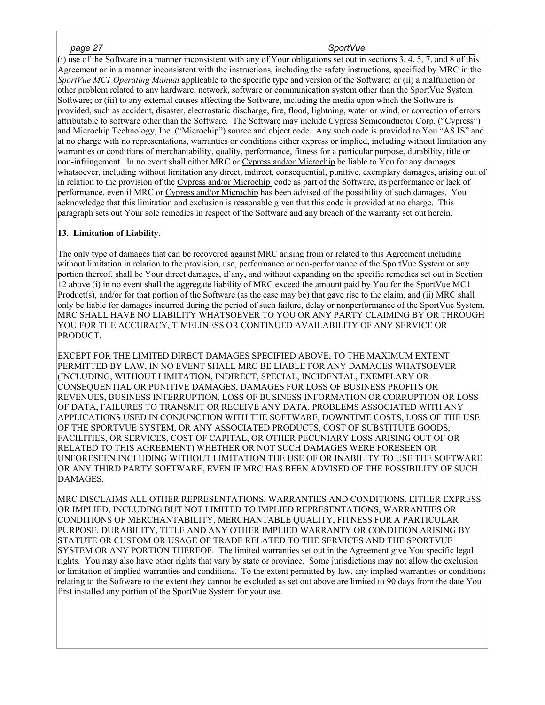#### *page 27 SportVue*

(i) use of the Software in a manner inconsistent with any of Your obligations set out in sections 3, 4, 5, 7, and 8 of this Agreement or in a manner inconsistent with the instructions, including the safety instructions, specified by MRC in the *SportVue MC1 Operating Manual* applicable to the specific type and version of the Software; or (ii) a malfunction or other problem related to any hardware, network, software or communication system other than the SportVue System Software; or (iii) to any external causes affecting the Software, including the media upon which the Software is provided, such as accident, disaster, electrostatic discharge, fire, flood, lightning, water or wind, or correction of errors attributable to software other than the Software. The Software may include Cypress Semiconductor Corp. ("Cypress") and Microchip Technology, Inc. ("Microchip") source and object code. Any such code is provided to You "AS IS" and at no charge with no representations, warranties or conditions either express or implied, including without limitation any warranties or conditions of merchantability, quality, performance, fitness for a particular purpose, durability, title or non-infringement. In no event shall either MRC or Cypress and/or Microchip be liable to You for any damages whatsoever, including without limitation any direct, indirect, consequential, punitive, exemplary damages, arising out of in relation to the provision of the Cypress and/or Microchip code as part of the Software, its performance or lack of performance, even if MRC or Cypress and/or Microchip has been advised of the possibility of such damages. You acknowledge that this limitation and exclusion is reasonable given that this code is provided at no charge. This paragraph sets out Your sole remedies in respect of the Software and any breach of the warranty set out herein.

### **13. Limitation of Liability.**

The only type of damages that can be recovered against MRC arising from or related to this Agreement including without limitation in relation to the provision, use, performance or non-performance of the SportVue System or any portion thereof, shall be Your direct damages, if any, and without expanding on the specific remedies set out in Section 12 above (i) in no event shall the aggregate liability of MRC exceed the amount paid by You for the SportVue MC1 Product(s), and/or for that portion of the Software (as the case may be) that gave rise to the claim, and (ii) MRC shall only be liable for damages incurred during the period of such failure, delay or nonperformance of the SportVue System. MRC SHALL HAVE NO LIABILITY WHATSOEVER TO YOU OR ANY PARTY CLAIMING BY OR THROUGH YOU FOR THE ACCURACY, TIMELINESS OR CONTINUED AVAILABILITY OF ANY SERVICE OR PRODUCT.

EXCEPT FOR THE LIMITED DIRECT DAMAGES SPECIFIED ABOVE, TO THE MAXIMUM EXTENT PERMITTED BY LAW, IN NO EVENT SHALL MRC BE LIABLE FOR ANY DAMAGES WHATSOEVER (INCLUDING, WITHOUT LIMITATION, INDIRECT, SPECIAL, INCIDENTAL, EXEMPLARY OR CONSEQUENTIAL OR PUNITIVE DAMAGES, DAMAGES FOR LOSS OF BUSINESS PROFITS OR REVENUES, BUSINESS INTERRUPTION, LOSS OF BUSINESS INFORMATION OR CORRUPTION OR LOSS OF DATA, FAILURES TO TRANSMIT OR RECEIVE ANY DATA, PROBLEMS ASSOCIATED WITH ANY APPLICATIONS USED IN CONJUNCTION WITH THE SOFTWARE, DOWNTIME COSTS, LOSS OF THE USE OF THE SPORTVUE SYSTEM, OR ANY ASSOCIATED PRODUCTS, COST OF SUBSTITUTE GOODS, FACILITIES, OR SERVICES, COST OF CAPITAL, OR OTHER PECUNIARY LOSS ARISING OUT OF OR RELATED TO THIS AGREEMENT) WHETHER OR NOT SUCH DAMAGES WERE FORESEEN OR UNFORESEEN INCLUDING WITHOUT LIMITATION THE USE OF OR INABILITY TO USE THE SOFTWARE OR ANY THIRD PARTY SOFTWARE, EVEN IF MRC HAS BEEN ADVISED OF THE POSSIBILITY OF SUCH DAMAGES.

MRC DISCLAIMS ALL OTHER REPRESENTATIONS, WARRANTIES AND CONDITIONS, EITHER EXPRESS OR IMPLIED, INCLUDING BUT NOT LIMITED TO IMPLIED REPRESENTATIONS, WARRANTIES OR CONDITIONS OF MERCHANTABILITY, MERCHANTABLE QUALITY, FITNESS FOR A PARTICULAR PURPOSE, DURABILITY, TITLE AND ANY OTHER IMPLIED WARRANTY OR CONDITION ARISING BY STATUTE OR CUSTOM OR USAGE OF TRADE RELATED TO THE SERVICES AND THE SPORTVUE SYSTEM OR ANY PORTION THEREOF. The limited warranties set out in the Agreement give You specific legal rights. You may also have other rights that vary by state or province. Some jurisdictions may not allow the exclusion or limitation of implied warranties and conditions. To the extent permitted by law, any implied warranties or conditions relating to the Software to the extent they cannot be excluded as set out above are limited to 90 days from the date You first installed any portion of the SportVue System for your use.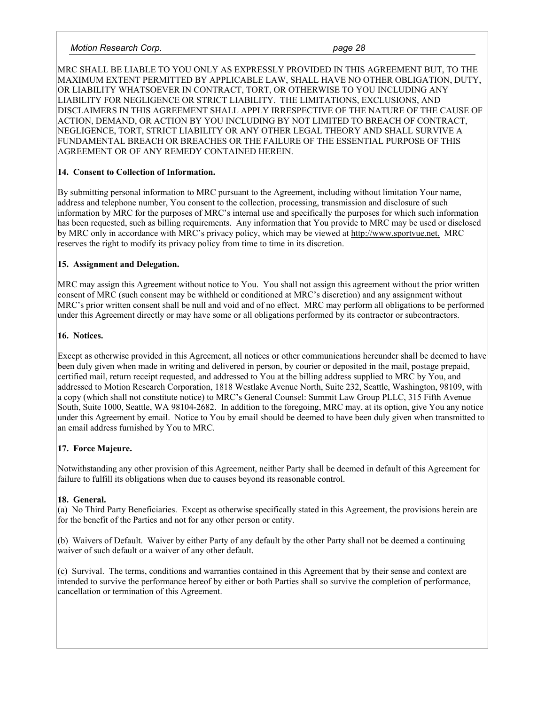#### *Motion Research Corp. page 28 page 28 page 28 page 28 page 28 page 28*

MRC SHALL BE LIABLE TO YOU ONLY AS EXPRESSLY PROVIDED IN THIS AGREEMENT BUT, TO THE MAXIMUM EXTENT PERMITTED BY APPLICABLE LAW, SHALL HAVE NO OTHER OBLIGATION, DUTY, OR LIABILITY WHATSOEVER IN CONTRACT, TORT, OR OTHERWISE TO YOU INCLUDING ANY LIABILITY FOR NEGLIGENCE OR STRICT LIABILITY. THE LIMITATIONS, EXCLUSIONS, AND DISCLAIMERS IN THIS AGREEMENT SHALL APPLY IRRESPECTIVE OF THE NATURE OF THE CAUSE OF ACTION, DEMAND, OR ACTION BY YOU INCLUDING BY NOT LIMITED TO BREACH OF CONTRACT, NEGLIGENCE, TORT, STRICT LIABILITY OR ANY OTHER LEGAL THEORY AND SHALL SURVIVE A FUNDAMENTAL BREACH OR BREACHES OR THE FAILURE OF THE ESSENTIAL PURPOSE OF THIS AGREEMENT OR OF ANY REMEDY CONTAINED HEREIN.

## **14. Consent to Collection of Information.**

By submitting personal information to MRC pursuant to the Agreement, including without limitation Your name, address and telephone number, You consent to the collection, processing, transmission and disclosure of such information by MRC for the purposes of MRC's internal use and specifically the purposes for which such information has been requested, such as billing requirements. Any information that You provide to MRC may be used or disclosed by MRC only in accordance with MRC's privacy policy, which may be viewed at http://www.sportvue.net. MRC reserves the right to modify its privacy policy from time to time in its discretion.

## **15. Assignment and Delegation.**

MRC may assign this Agreement without notice to You. You shall not assign this agreement without the prior written consent of MRC (such consent may be withheld or conditioned at MRC's discretion) and any assignment without MRC's prior written consent shall be null and void and of no effect. MRC may perform all obligations to be performed under this Agreement directly or may have some or all obligations performed by its contractor or subcontractors.

## **16. Notices.**

Except as otherwise provided in this Agreement, all notices or other communications hereunder shall be deemed to have been duly given when made in writing and delivered in person, by courier or deposited in the mail, postage prepaid, certified mail, return receipt requested, and addressed to You at the billing address supplied to MRC by You, and addressed to Motion Research Corporation, 1818 Westlake Avenue North, Suite 232, Seattle, Washington, 98109, with a copy (which shall not constitute notice) to MRC's General Counsel: Summit Law Group PLLC, 315 Fifth Avenue South, Suite 1000, Seattle, WA 98104-2682. In addition to the foregoing, MRC may, at its option, give You any notice under this Agreement by email. Notice to You by email should be deemed to have been duly given when transmitted to an email address furnished by You to MRC.

# **17. Force Majeure.**

Notwithstanding any other provision of this Agreement, neither Party shall be deemed in default of this Agreement for failure to fulfill its obligations when due to causes beyond its reasonable control.

# **18. General.**

(a) No Third Party Beneficiaries. Except as otherwise specifically stated in this Agreement, the provisions herein are for the benefit of the Parties and not for any other person or entity.

(b) Waivers of Default. Waiver by either Party of any default by the other Party shall not be deemed a continuing waiver of such default or a waiver of any other default.

(c) Survival. The terms, conditions and warranties contained in this Agreement that by their sense and context are intended to survive the performance hereof by either or both Parties shall so survive the completion of performance, cancellation or termination of this Agreement.